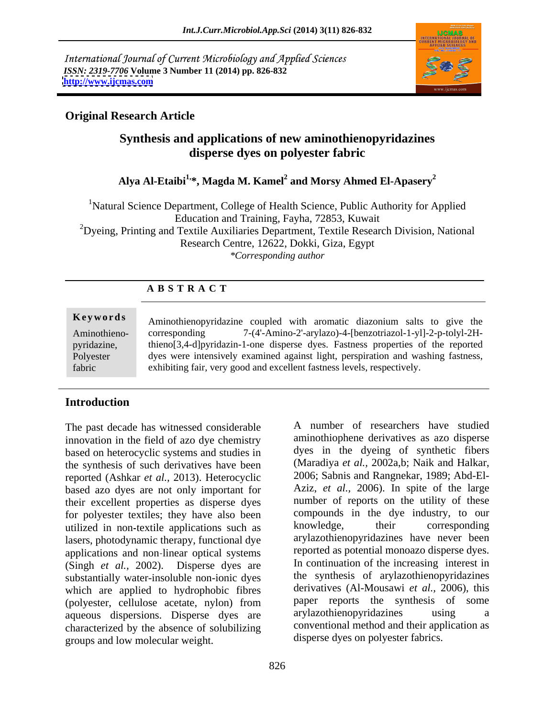International Journal of Current Microbiology and Applied Sciences *ISSN: 2319-7706* **Volume 3 Number 11 (2014) pp. 826-832 <http://www.ijcmas.com>**



## **Original Research Article**

# **Synthesis and applications of new aminothienopyridazines disperse dyes on polyester fabric**

# Alya Al-Etaibi<sup>1,</sup>\*, Magda M. Kamel<sup>2</sup> and Morsy Ahmed El-Apasery<sup>2</sup>

<sup>1</sup>Natural Science Department, College of Health Science, Public Authority for Applied Education and Training, Fayha, 72853, Kuwait <sup>2</sup>Dyeing, Printing and Textile Auxiliaries Department, Textile Research Division, National Research Centre, 12622, Dokki, Giza, Egypt *\*Corresponding author*

## **A B S T R A C T**

**Keywords** Aminothienopyridazine coupled with aromatic diazonium salts to give the Aminothieno- corresponding 7-(4'-Amino-2'-arylazo)-4-[benzotriazol-1-yl]-2-p-tolyl-2Hpyridazine, thieno[3,4-d]pyridazin-1-one disperse dyes. Fastness properties of the reported<br>Polyester dyes were intensively examined against light, perspiration and washing fastness, fabric exhibiting fair, very good and excellent fastness levels, respectively. thieno[3,4-d]pyridazin-1-one disperse dyes. Fastness properties of the reported

## **Introduction**

The past decade has witnessed considerable innovation in the field of azo dye chemistry based on heterocyclic systems and studies in the synthesis of such derivatives have been reported (Ashkar *et al.,* 2013). Heterocyclic based azo dyes are not only important for their excellent properties as disperse dyes for polyester textiles; they have also been compounds in the dye industry, to our<br>utilized in non-textile applications such as <br>knowledge, their corresponding utilized in non textile applications such as lasers, photodynamic therapy, functional dye applications and non linear optical systems (Singh *et al.,* 2002). Disperse dyes are substantially water-insoluble non-ionic dyes which are applied to hydrophobic fibres (polyester, cellulose acetate, nylon) from paper reports the synthesis of aqueous dispersions. Disperse dyes are ary availazable approximations using aqueous dispersions. Disperse dyes are arylazothienopyridazines using a characterized by the absence of solubilizing groups and low molecular weight.

A number of researchers have studied aminothiophene derivatives as azo disperse dyes in the dyeing of synthetic fibers (Maradiya *et al.,* 2002a,b; Naik and Halkar, 2006; Sabnis and Rangnekar, 1989; Abd-El- Aziz, *et al.,* 2006). In spite of the large number of reports on the utility of these compounds in the dye industry, to our knowledge, their corresponding arylazothienopyridazines have never been reported as potential monoazo disperse dyes. In continuation of the increasing interest in the synthesis of arylazothienopyridazines derivatives (Al-Mousawi *et al.,* 2006), this paper reports the synthesis of some arylazothienopyridazines using a conventional method and their application as disperse dyes on polyester fabrics.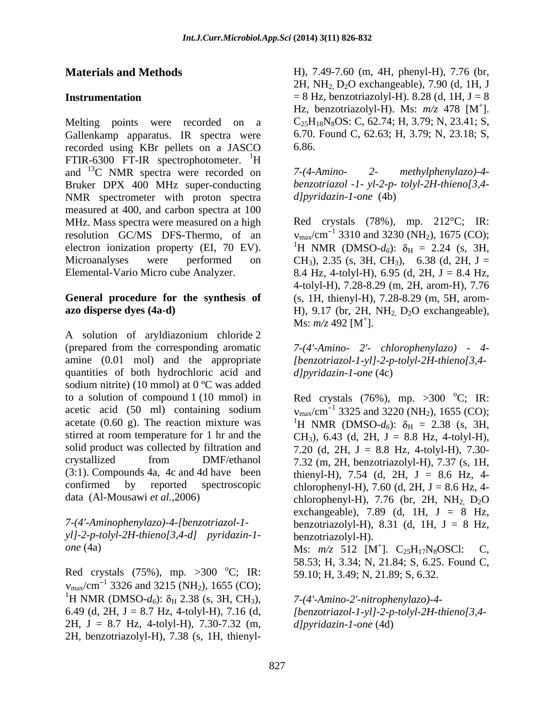Melting points were recorded on a Gallenkamp apparatus. IR spectra were recorded using KBr pellets on a JASCO FTIR-6300 FT-IR spectrophotometer.  ${}^{1}H$ and  $^{13}$ C NMR spectra were recorded on  $7-(4-Amino-2-$  methylphenylazo)-4-Bruker DPX 400 MHz super-conducting NMR spectrometer with proton spectra measured at 400, and carbon spectra at 100 MHz. Mass spectra were measured on a high resolution GC/MS DFS-Thermo, of an  $v_{\text{max}}/\text{cm}^{-1}$  3310 and 3230 (NH<sub>2</sub>), 1675 (CO); electron ionization property (EI, 70 EV). <sup>1</sup>H NMR (DMSO- $d_6$ ):  $\delta_{\rm H}$  = 2.24 (s, 3H, Microanalyses were performed on  $CH_3$ ), 2.35 (s, 3H, CH<sub>3</sub>), 6.38 (d, 2H, J = Elemental-Vario Micro cube Analyzer. 8.4 Hz, 4-tolyl-H), 6.95 (d, 2H, J = 8.4 Hz,

A solution of aryldiazonium chloride 2 (prepared from the corresponding aromatic *7-(4'-Amino- 2'- chlorophenylazo) - 4* amine (0.01 mol) and the appropriate *[benzotriazol-1-yl]-2-p-tolyl-2H-thieno[3,4* quantities of both hydrochloric acid and *dlpyridazin-1-one* (4c) sodium nitrite) (10 mmol) at 0 ºC was added to a solution of compound 1 (10 mmol) in Red crystals  $(76%)$ , mp.  $>300$  °C; IR: acetic acid (50 ml) containing sodium  $v_{\text{max}}/\text{cm}^{-1}$  3325 and 3220 (NH<sub>2</sub>), 1655 (CO); acetate (0.60 g). The reaction mixture was  ${}^{1}H$  NMR (DMSO- $d_6$ ):  $\delta_H = 2.38$  (s, 3H, stirred at room temperature for 1 hr and the  $CH_3$ , 6.43 (d, 2H, J = 8.8 Hz, 4-tolyl-H), solid product was collected by filtration and  $7.20$  (d, 2H, J = 8.8 Hz, 4-tolyl-H), 7.30crystallized from DMF/ethanol 7.32 (m, 2H, benzotriazolyl-H), 7.37 (s, 1H,  $(3:1)$ . Compounds 4a, 4c and 4d have been thienyl-H), 7.54 (d, 2H, J = 8.6 Hz, 4confirmed by reported spectroscopic chlorophenyl-H), 7.60 (d, 2H,  $J = 8.6$  Hz, 4-**Materials and Methods**<br>
2H, NP1, D-9.0 (m, 4H, phenyl-H), 7.78 (d, 1H, J-8<br> **Dariumention**<br>
2H, NP1, D-9.0 exchangeable), 7.90 (d, 1H, J-8<br> **Dariumention**) (m, R-3.8 (d, 1H, J-8<br> **Colliderance recorded on a**  $16$  D-colli

*yl]-2-p-tolyl-2H-thieno[3,4-d] pyridazin-1-*

Red crystals  $(75\%)$ , mp.  $>300$  °C; IR:  $_{\text{max}}/\text{cm}^{-1}$  3326 and 3215 (NH<sub>2</sub>), 1655 (CO); <sup>1</sup>H NMR (DMSO- $d_6$ ):  $\delta_H$  2.38 (s, 3H, CH<sub>3</sub>), 6.49 (d, 2H, J = 8.7 Hz, 4-tolyl-H), 7.16 (d, *[benzotriazol-1-yl]-2-p-tolyl-2H-thieno[3,4-* 2H,  $J = 8.7$  Hz, 4-tolyl-H), 7.30-7.32 (m, *dlpyridazin-1-one* (4d)

**Materials and Methods** H), 7.49-7.60 (m, 4H, phenyl-H), 7.76 (br, **Instrumentation**  $= 8$  Hz, benzotriazolyl-H). 8.28 (d, 1H,  $J = 8$ Hz, benzotriazolyl-H). Ms: *m/z* 478 [M  $+$ <sub>1</sub> ].  $C_{25}H_{18}N_8OS$ : C, 62.74; H, 3.79; N, 23.41; S, 6.70. Found C, 62.63; H, 3.79; N, 23.18; S, 6.86.

> *7-(4-Amino- 2- methylphenylazo)-4 benzotriazol -1- yl-2-p- tolyl-2H-thieno[3,4 d]pyridazin-1-one* (4b)

**General procedure for the synthesis of** (s, 1H, thienyl-H), 7.28-8.29 (m, 5H, arom **azo disperse dyes (4a-d)** H), 9.17 (br, 2H, NH<sub>2,</sub> D<sub>2</sub>O exchangeable), Red crystals (78%), mp. 212°C; IR: 4-tolyl-H), 7.28-8.29 (m, 2H, arom-H), 7.76  $Ms: m/z$  492 [ $M<sup>+</sup>$ ]. ].

*d]pyridazin-1-one* (4c)

data (Al-Mousawi *et al.,*2006) chlorophenyl-H), 7.76 (br, 2H, NH2, D2O *7-(4'-Aminophenylazo)-4-[benzotriazol-1-* benzotriazolyl-H), 8.31 (d, 1H, J = 8 Hz,  $^{\circ}C$ ; IR: exchangeable),  $7.89$  (d,  $1H$ ,  $J = 8$  Hz, benzotriazolyl-H).

*one* (4a) **Ms**:  $m/z$  512 [M<sup>+</sup>]. C<sub>25</sub>H<sub>17</sub>N<sub>8</sub>OSCI: C, <sup>o</sup>C; IR: 59.10; H, 3.49; N, 21.89; S, 6.32. Ms: *m/z* 512 [M<sup>+</sup>]. C<sub>25</sub>H<sub>17</sub>N<sub>8</sub>OSCl: C,  $^{+1}$  C H N OCCI $^{+}$  C 58.53; H, 3.34; N, 21.84; S, 6.25. Found C,

> *7-(4'-Amino-2'-nitrophenylazo)-4 d]pyridazin-1-one* (4d)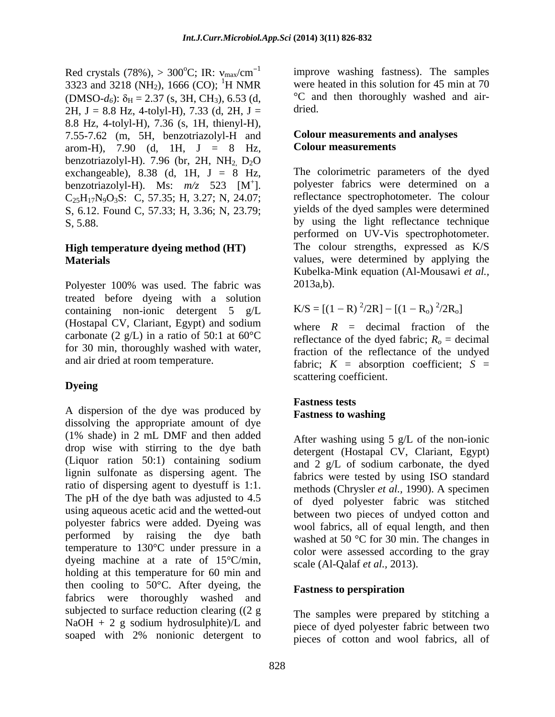Red crystals (78%),  $> 300^{\circ}$ C; IR:  $v_{\text{max}}/cm^{-1}$ 3323 and 3218 (NH<sub>2</sub>), 1666 (CO); <sup>1</sup>H NMR (DMSO- $d_6$ ):  $\delta_H = 2.37$  (s, 3H, CH<sub>3</sub>), 6.53 (d, <sup>o</sup>C an<br>
2H I = 8.8 Hz 4-tolvl-H) 7.33 (d, 2H I = dried. 2H,  $J = 8.8$  Hz, 4-tolyl-H), 7.33 (d, 2H,  $J =$ 8.8 Hz, 4-tolyl-H), 7.36 (s, 1H, thienyl-H), 7.55-7.62 (m, 5H, benzotriazolyl-H and arom*-*H), 7.90 (d, 1H, J = 8 Hz, benzotriazolyl-H). 7.96 (br, 2H,  $NH<sub>2</sub>$  D<sub>2</sub>O exchangeable),  $8.38$  (d, 1H,  $J = 8$  Hz,  $C_{25}H_{17}N_9O_3S$ : C, 57.35; H, 3.27; N, 24.07; S, 6.12. Found C, 57.33; H, 3.36; N, 23.79;

# **High temperature dyeing method (HT)**

Polyester 100% was used. The fabric was 2013a,b). treated before dyeing with a solution containing non-ionic detergent 5 g/L (Hostapal CV, Clariant, Egypt) and sodium carbonate (2 g/L) in a ratio of 50:1 at  $60^{\circ}$ C for 30 min, thoroughly washed with water,

A dispersion of the dye was produced by **Fastness to washing** dissolving the appropriate amount of dye (1% shade) in 2 mL DMF and then added drop wise with stirring to the dye bath (Liquor ration 50:1) containing sodium lignin sulfonate as dispersing agent. The ratio of dispersing agent to dyestuff is 1:1. The pH of the dye bath was adjusted to 4.5 using aqueous acetic acid and the wetted-out polyester fabrics were added. Dyeing was performed by raising the dye bath temperature to 130°C under pressure in a dyeing machine at a rate of 15°C/min, holding at this temperature for 60 min and then cooling to  $50^{\circ}$ C. After dyeing, the **Fastness to perspiration** fabrics were thoroughly washed and subjected to surface reduction clearing ((2 g  $NaOH + 2 g$  sodium hydrosulphite)/L and soaped with 2% nonionic detergent to

 $^{\circ}$ C; IR: v<sub>max</sub>/cm<sup>-1</sup> improve washing fastness). The samples <sup>1</sup>H NMR were heated in this solution for 45 min at 70 improve washing fastness). The samples °C and then thoroughly washed and air dried. **Example 2018** 

## **Colour measurements and analyses Colour measurements**

benzotriazolyl-H). Ms:  $m/z$  523 [M<sup>+</sup>]. polyester fabrics were determined on a + ]. polyester fabrics were determined on a S, 5.88. by using the light reflectance technique **Materials** values, were determined by applying the The colorimetric parameters of the dyed reflectance spectrophotometer. The colour yields of the dyed samples were determined performed on UV-Vis spectrophotometer. The colour strengths, expressed as K/S Kubelka-Mink equation (Al-Mousawi *et al.,*

2013a,b).  

$$
K/S = [(1 - R)^{2}/2R] - [(1 - R_o)^{2}/2R_o]
$$

and air dried at room temperature.<br>
fabric;  $K =$  absorption coefficient;  $S =$ **Dyeing** where  $R =$  decimal fraction of the reflectance of the dyed fabric;  $R<sub>o</sub> =$  decimal fraction of the reflectance of the undyed scattering coefficient.

### **Fastness tests Fastness to washing**

After washing using  $5 \text{ g/L}$  of the non-ionic detergent (Hostapal CV, Clariant, Egypt) and 2 g/L of sodium carbonate, the dyed fabrics were tested by using ISO standard methods (Chrysler *et al.,* 1990). A specimen of dyed polyester fabric was stitched between two pieces of undyed cotton and wool fabrics, all of equal length, and then washed at 50 °C for 30 min. The changes in color were assessed according to the gray scale (Al-Qalaf *et al.,* 2013).

### **Fastness to perspiration**

The samples were prepared by stitching a piece of dyed polyester fabric between two pieces of cotton and wool fabrics, all of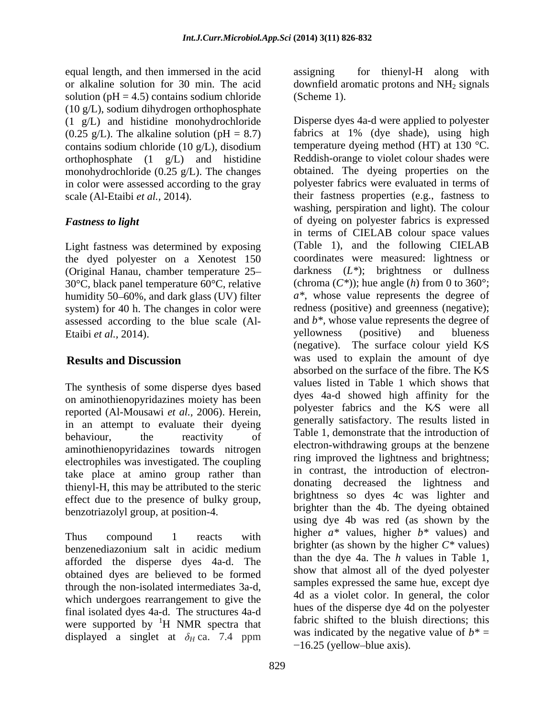equal length, and then immersed in the acid solution ( $pH = 4.5$ ) contains sodium chloride (Scheme 1). (10 g/L), sodium dihydrogen orthophosphate (1 g/L) and histidine monohydrochloride  $(0.25 \text{ g/L})$ . The alkaline solution (pH = 8.7) contains sodium chloride (10 g/L), disodium orthophosphate (1 g/L) and histidine monohydrochloride  $(0.25 \text{ g/L})$ . The changes in color were assessed according to the gray

Light fastness was determined by exposing the dyed polyester on a Xenotest 150 30°C, black panel temperature 60°C, relative humidity 50–60%, and dark glass (UV) filter system) for 40 h. The changes in color were assessed according to the blue scale (Al-<br>
Fraibi *et al.*, 2014). vellowness Etaibi *et al.*, 2014). Superior vellowness (positive) and blueness (positive) and blueness

The synthesis of some disperse dyes based on aminothienopyridazines moiety has been reported (Al-Mousawi *et al.,* 2006). Herein, in an attempt to evaluate their dyeing aminothienopyridazines towards nitrogen electrophiles was investigated. The coupling take place at amino group rather than the introduction of electron-<br>donating decreased the lightness and thienyl-H, this may be attributed to the steric effect due to the presence of bulky group, benzotriazolyl group, at position-4.

afforded the disperse dyes 4a-d. The obtained dyes are believed to be formed final isolated dyes 4a-d. The structures 4a-d were supported by  ${}^{1}H$  NMR spectra that displayed a singlet at  $\delta_H$  ca. 7.4 ppm was indicated by the negat  $-16.25$  (yellow-blue axis).

or alkaline solution for 30 min. The acid downfield aromatic protons and NH<sub>2</sub> signals assigning for thienyl-H along with (Scheme 1).

scale (Al-Etaibi *et al.,* 2014). their fastness properties (e.g., fastness to *Fastness to light* of dyeing on polyester fabrics is expressed (Original Hanau, chamber temperature 25 darkness (*L\**); brightness or dullness **Results and Discussion** was used to explain the amount of dye behaviour, the reactivity of lable 1, demonstrate that the introduction of Thus compound 1 reacts with  $\frac{\text{migner}}{\text{m} \cdot \text{m}}$  reacts with  $\frac{\text{migner}}{\text{m} \cdot \text{m}}$  reacts with benzenediazonium salt in acidic medium  $\frac{\text{array}}{\text{array}}$  (as shown by the nighter C  $\frac{m}{n}$  values) through the non-isolated intermediates 3a-d,<br>which undergoes rearrangement to give the  $\frac{4d}{3}$  as a violet color. In general, the color <sup>1</sup>H NMR spectra that tabric shifted to the bluish directions; this Disperse dyes 4a-d were applied to polyester fabrics at 1% (dye shade), using high temperature dyeing method (HT) at 130 °C. Reddish-orange to violet colour shades were obtained. The dyeing properties on the polyester fabrics were evaluated in terms of washing, perspiration and light). The colour in terms of CIELAB colour space values (Table 1), and the following CIELAB coordinates were measured: lightness or (chroma  $(C^*)$ ); hue angle (*h*) from 0 to 360°; *a\**, whose value represents the degree of redness (positive) and greenness (negative); and *b\*,* whose value represents the degree of yellowness (positive) and blueness (negative). The surface colour yield  $K\mathcal{S}$ was used to explain the amount of dye absorbed on the surface of the fibre. The KS values listed in Table 1 which shows that dyes 4a-d showed high affinity for the polyester fabrics and the KS were all generally satisfactory. The results listed in Table 1, demonstrate that the introduction of electron-withdrawing groups at the benzene ring improved the lightness and brightness; in contrast, the introduction of electron donating decreased the lightness brightness so dyes 4c was lighter and brighter than the 4b. The dyeing obtained using dye 4b was red (as shown by the higher *a\** values, higher *b\** values) and brighter (as shown by the higher *C\** values) than the dye 4a. The *h* values in Table 1, show that almost all of the dyed polyester samples expressed the same hue, except dye 4d as a violet color. In general, the color hues of the disperse dye 4d on the polyester fabric shifted to the bluish directions; this was indicated by the negative value of  $b^*$  = 16.25 (yellow-blue axis).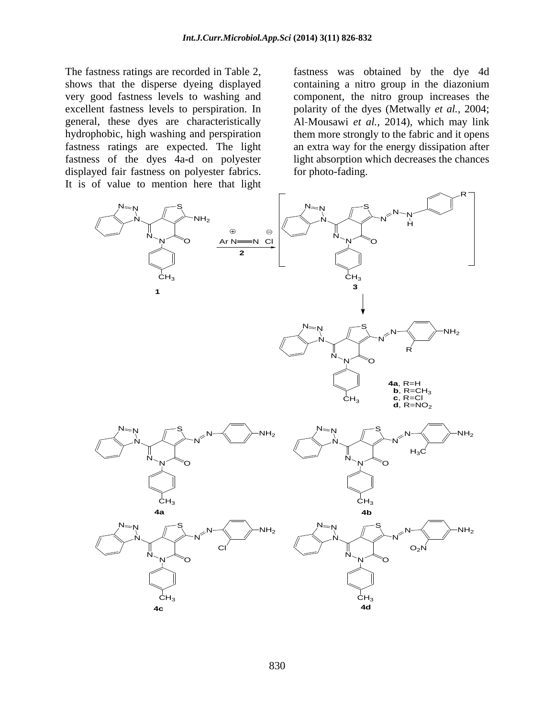The fastness ratings are recorded in Table 2, fastness was obtained by the dye 4d hydrophobic, high washing and perspiration displayed fair fastness on polyester fabrics. It is of value to mention here that light

shows that the disperse dyeing displayed containing a nitro group in the diazonium very good fastness levels to washing and component, the nitro group increases the excellent fastness levels to perspiration. In polarity of the dyes (Metwally *et al.,* 2004; general, these dyes are characteristically Al Mousawi *et al.,* 2014), which may link fastness ratings are expected. The light an extra way for the energy dissipation after fastness of the dyes 4a-d on polyester light absorption which decreases the chances them more strongly to the fabric and it opens for photo-fading.

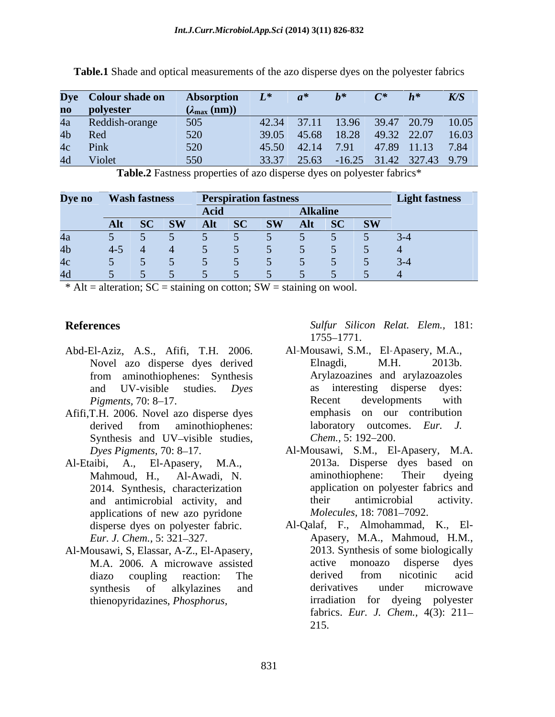|    | Dye Colour shade on | Absorption              | $\mathbf{L}^*$ | $\mathbf{a}^*$   |  | $h^*$                                | K/S |
|----|---------------------|-------------------------|----------------|------------------|--|--------------------------------------|-----|
|    | no polyester        | $(\lambda_{\max} (nm))$ |                |                  |  |                                      |     |
|    | 4a Reddish-orange   | 505                     |                |                  |  | 42.34 37.11 13.96 39.47 20.79 10.05  |     |
|    | 4b Red              |                         |                |                  |  | 39.05 45.68 18.28 49.32 22.07 16.03  |     |
|    | 4c Pink             |                         |                | 45.50 42.14 7.91 |  | 47.89 11.13 7.84                     |     |
| 4d | Violet              |                         |                |                  |  | 33.37 25.63 -16.25 31.42 327.43 9.79 |     |

**Table.1** Shade and optical measurements of the azo disperse dyes on the polyester fabrics

**Table.2** Fastness properties of azo disperse dyes on polyester fabrics\*

|   | Dye no Wash fastness |       |                           |  |
|---|----------------------|-------|---------------------------|--|
|   |                      |       | $\lambda$ Ilzaliz<br>аіка |  |
|   |                      | AI IT | $\sim$                    |  |
|   |                      |       |                           |  |
|   | $4-5$                |       |                           |  |
|   |                      |       |                           |  |
| A |                      |       |                           |  |

 $*$  Alt = alteration; SC = staining on cotton; SW = staining on wool.

- Abd-El-Aziz, A.S., Afifi, T.H. 2006.
- Afifi,T.H. 2006. Novel azo disperse dyes
- 2014. Synthesis, characterization
- Al-Mousawi, S, Elassar, A-Z., El-Apasery,

**References** *Sulfur Silicon Relat. Elem.,* 181: 1755 1771.

- Novel azo disperse dyes derived from aminothiophenes: Synthesis and UV-visible studies. *Dyes Pigments,* 70: 8–17. The result of Recent developments with derived from aminothiophenes: laboratory outcomes. *Eur*. J. Synthesis and UV-visible studies, Chem., 5:192-200. Al Mousawi, S.M., El Apasery, M.A., Elnagdi, M.H. 2013b. Arylazoazines and arylazoazoles as interesting disperse Recent developments with emphasis on our contribution laboratory outcomes. *Eur. J. Chem.,* 5: 192–200.
- Dyes Pigments, 70: 8–17. **Al-Mousawi, S.M., El-Apasery, M.A.** Al-Etaibi, A., El-Apasery, M.A., 2013a. Disperse dyes based on<br>Mahmoud, H., Al-Awadi, N. aminothiophene: Their dyeing and antimicrobial activity, and their antimicrobial activity. applications of new azo pyridone *Molecules*, 18: 7081–7092. 2013a. Disperse dyes based on aminothiophene: Their dyeing application on polyester fabrics and their antimicrobial activity. *Molecules,* 18: 7081–7092.
	- disperse dyes on polyester fabric. Al-Qalaf, F., Almohammad, K., El- *Eur. J. Chem.,* 5: 321 327. Apasery, M.A., Mahmoud, H*.*M*.*, M.A. 2006. A microwave assisted diazo coupling reaction: The synthesis of alkylazines and derivatives under microwave thienopyridazines, *Phosphorus,*  irradiation for dyeing polyester 2013. Synthesis of some biologically active monoazo disperse dyes derived from nicotinic acid derivatives under microwave fabrics. *Eur. J. Chem.,* 4(3): 211 215.